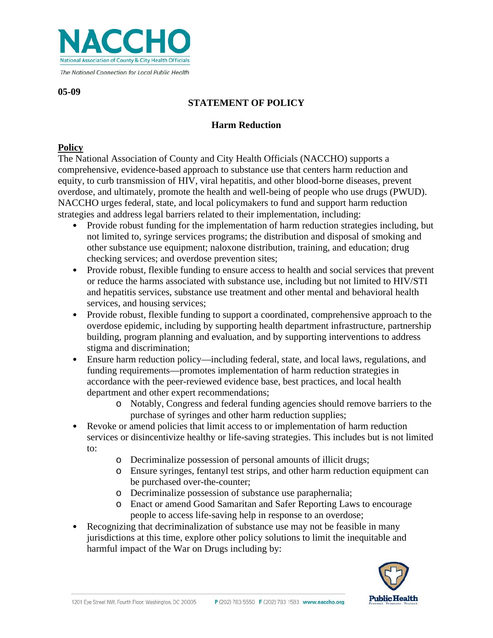

**05-09**

# **STATEMENT OF POLICY**

### **Harm Reduction**

### **Policy**

The National Association of County and City Health Officials (NACCHO) supports a comprehensive, evidence-based approach to substance use that centers harm reduction and equity, to curb transmission of HIV, viral hepatitis, and other blood-borne diseases, prevent overdose, and ultimately, promote the health and well-being of people who use drugs (PWUD). NACCHO urges federal, state, and local policymakers to fund and support harm reduction strategies and address legal barriers related to their implementation, including:

- Provide robust funding for the implementation of harm reduction strategies including, but not limited to, syringe services programs; the distribution and disposal of smoking and other substance use equipment; naloxone distribution, training, and education; drug checking services; and overdose prevention sites;
- Provide robust, flexible funding to ensure access to health and social services that prevent or reduce the harms associated with substance use, including but not limited to HIV/STI and hepatitis services, substance use treatment and other mental and behavioral health services, and housing services;
- Provide robust, flexible funding to support a coordinated, comprehensive approach to the overdose epidemic, including by supporting health department infrastructure, partnership building, program planning and evaluation, and by supporting interventions to address stigma and discrimination;
- Ensure harm reduction policy—including federal, state, and local laws, regulations, and funding requirements—promotes implementation of harm reduction strategies in accordance with the peer-reviewed evidence base, best practices, and local health department and other expert recommendations;
	- o Notably, Congress and federal funding agencies should remove barriers to the purchase of syringes and other harm reduction supplies;
- Revoke or amend policies that limit access to or implementation of harm reduction services or disincentivize healthy or life-saving strategies. This includes but is not limited to:
	- o Decriminalize possession of personal amounts of illicit drugs;
	- o Ensure syringes, fentanyl test strips, and other harm reduction equipment can be purchased over-the-counter;
	- o Decriminalize possession of substance use paraphernalia;
	- o Enact or amend Good Samaritan and Safer Reporting Laws to encourage people to access life-saving help in response to an overdose;
- Recognizing that decriminalization of substance use may not be feasible in many jurisdictions at this time, explore other policy solutions to limit the inequitable and harmful impact of the War on Drugs including by:

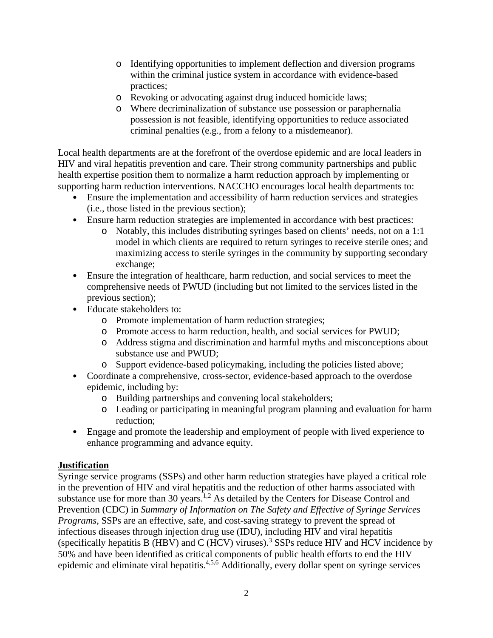- o Identifying opportunities to implement deflection and diversion programs within the criminal justice system in accordance with evidence-based practices;
- o Revoking or advocating against drug induced homicide laws;
- o Where decriminalization of substance use possession or paraphernalia possession is not feasible, identifying opportunities to reduce associated criminal penalties (e.g., from a felony to a misdemeanor).

Local health departments are at the forefront of the overdose epidemic and are local leaders in HIV and viral hepatitis prevention and care. Their strong community partnerships and public health expertise position them to normalize a harm reduction approach by implementing or supporting harm reduction interventions. NACCHO encourages local health departments to:

- Ensure the implementation and accessibility of harm reduction services and strategies (i.e., those listed in the previous section);
- Ensure harm reduction strategies are implemented in accordance with best practices:
	- o Notably, this includes distributing syringes based on clients' needs, not on a 1:1 model in which clients are required to return syringes to receive sterile ones; and maximizing access to sterile syringes in the community by supporting secondary exchange;
- Ensure the integration of healthcare, harm reduction, and social services to meet the comprehensive needs of PWUD (including but not limited to the services listed in the previous section);
- Educate stakeholders to:
	- o Promote implementation of harm reduction strategies;
	- o Promote access to harm reduction, health, and social services for PWUD;
	- o Address stigma and discrimination and harmful myths and misconceptions about substance use and PWUD;
	- o Support evidence-based policymaking, including the policies listed above;
- Coordinate a comprehensive, cross-sector, evidence-based approach to the overdose epidemic, including by:
	- o Building partnerships and convening local stakeholders;
	- o Leading or participating in meaningful program planning and evaluation for harm reduction;
- Engage and promote the leadership and employment of people with lived experience to enhance programming and advance equity.

## **Justification**

Syringe service programs (SSPs) and other harm reduction strategies have played a critical role in the prevention of HIV and viral hepatitis and the reduction of other harms associated with substance use for more than 30 years.<sup>1,2</sup> As detailed by the Centers for Disease Control and Prevention (CDC) in *Summary of Information on The Safety and Effective of Syringe Services Programs*, SSPs are an effective, safe, and cost-saving strategy to prevent the spread of infectious diseases through injection drug use (IDU), including HIV and viral hepatitis (specifically hepatitis B (HBV) and C (HCV) viruses).<sup>3</sup> SSPs reduce HIV and HCV incidence by 50% and have been identified as critical components of public health efforts to end the HIV epidemic and eliminate viral hepatitis.4,5,6 Additionally, every dollar spent on syringe services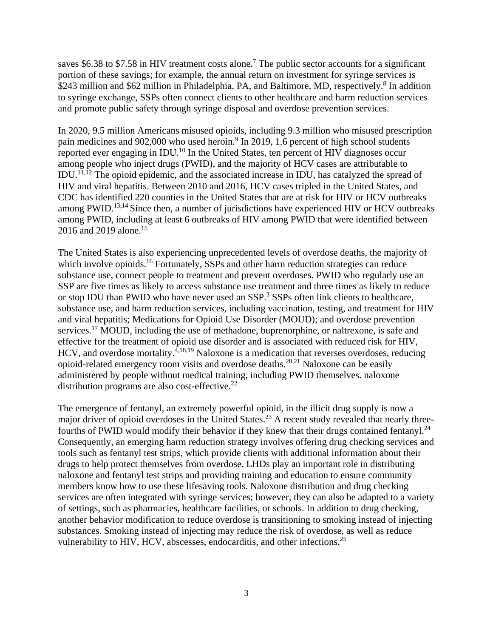saves \$6.38 to \$7.58 in HIV treatment costs alone.<sup>7</sup> The public sector accounts for a significant portion of these savings; for example, the annual return on investment for syringe services is \$243 million and \$62 million in Philadelphia, PA, and Baltimore, MD, respectively.<sup>8</sup> In addition to syringe exchange, SSPs often connect clients to other healthcare and harm reduction services and promote public safety through syringe disposal and overdose prevention services.

In 2020, 9.5 million Americans misused opioids, including 9.3 million who misused prescription pain medicines and 902,000 who used heroin.<sup>9</sup> In 2019, 1.6 percent of high school students reported ever engaging in IDU.<sup>10</sup> In the United States, ten percent of HIV diagnoses occur among people who inject drugs (PWID), and the majority of HCV cases are attributable to IDU.11,12 The opioid epidemic, and the associated increase in IDU, has catalyzed the spread of HIV and viral hepatitis. Between 2010 and 2016, HCV cases tripled in the United States, and CDC has identified 220 counties in the United States that are at risk for HIV or HCV outbreaks among PWID.<sup>13,14</sup> Since then, a number of jurisdictions have experienced HIV or HCV outbreaks among PWID, including at least 6 outbreaks of HIV among PWID that were identified between 2016 and 2019 alone. 15

The United States is also experiencing unprecedented levels of overdose deaths, the majority of which involve opioids.<sup>16</sup> Fortunately, SSPs and other harm reduction strategies can reduce substance use, connect people to treatment and prevent overdoses. PWID who regularly use an SSP are five times as likely to access substance use treatment and three times as likely to reduce or stop IDU than PWID who have never used an SSP.<sup>3</sup> SSPs often link clients to healthcare, substance use, and harm reduction services, including vaccination, testing, and treatment for HIV and viral hepatitis; Medications for Opioid Use Disorder (MOUD); and overdose prevention services.<sup>17</sup> MOUD, including the use of methadone, buprenorphine, or naltrexone, is safe and effective for the treatment of opioid use disorder and is associated with reduced risk for HIV, HCV, and overdose mortality.<sup> $4,18,19$ </sup> Naloxone is a medication that reverses overdoses, reducing opioid-related emergency room visits and overdose deaths. 20,21 Naloxone can be easily administered by people without medical training, including PWID themselves. naloxone distribution programs are also cost-effective. $22$ 

The emergence of fentanyl, an extremely powerful opioid, in the illicit drug supply is now a major driver of opioid overdoses in the United States.<sup>23</sup> A recent study revealed that nearly threefourths of PWID would modify their behavior if they knew that their drugs contained fentanyl.<sup>24</sup> Consequently, an emerging harm reduction strategy involves offering drug checking services and tools such as fentanyl test strips, which provide clients with additional information about their drugs to help protect themselves from overdose. LHDs play an important role in distributing naloxone and fentanyl test strips and providing training and education to ensure community members know how to use these lifesaving tools. Naloxone distribution and drug checking services are often integrated with syringe services; however, they can also be adapted to a variety of settings, such as pharmacies, healthcare facilities, or schools. In addition to drug checking, another behavior modification to reduce overdose is transitioning to smoking instead of injecting substances. Smoking instead of injecting may reduce the risk of overdose, as well as reduce vulnerability to HIV, HCV, abscesses, endocarditis, and other infections.<sup>25</sup>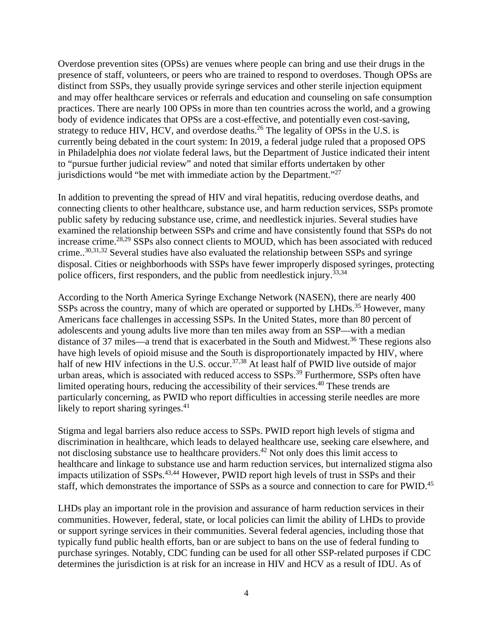Overdose prevention sites (OPSs) are venues where people can bring and use their drugs in the presence of staff, volunteers, or peers who are trained to respond to overdoses. Though OPSs are distinct from SSPs, they usually provide syringe services and other sterile injection equipment and may offer healthcare services or referrals and education and counseling on safe consumption practices. There are nearly 100 OPSs in more than ten countries across the world, and a growing body of evidence indicates that OPSs are a cost-effective, and potentially even cost-saving, strategy to reduce HIV, HCV, and overdose deaths.<sup>26</sup> The legality of OPSs in the U.S. is currently being debated in the court system: In 2019, a federal judge ruled that a proposed OPS in Philadelphia does *not* violate federal laws, but the Department of Justice indicated their intent to "pursue further judicial review" and noted that similar efforts undertaken by other jurisdictions would "be met with immediate action by the Department."27

In addition to preventing the spread of HIV and viral hepatitis, reducing overdose deaths, and connecting clients to other healthcare, substance use, and harm reduction services, SSPs promote public safety by reducing substance use, crime, and needlestick injuries. Several studies have examined the relationship between SSPs and crime and have consistently found that SSPs do not increase crime.<sup>28,29</sup> SSPs also connect clients to MOUD, which has been associated with reduced crime..<sup>30,31,32</sup> Several studies have also evaluated the relationship between SSPs and syringe disposal. Cities or neighborhoods with SSPs have fewer improperly disposed syringes, protecting police officers, first responders, and the public from needlestick injury.<sup>33,34</sup>

According to the North America Syringe Exchange Network (NASEN), there are nearly 400 SSPs across the country, many of which are operated or supported by LHDs.<sup>35</sup> However, many Americans face challenges in accessing SSPs. In the United States, more than 80 percent of adolescents and young adults live more than ten miles away from an SSP—with a median distance of 37 miles—a trend that is exacerbated in the South and Midwest.<sup>36</sup> These regions also have high levels of opioid misuse and the South is disproportionately impacted by HIV, where half of new HIV infections in the U.S. occur.<sup>37,38</sup> At least half of PWID live outside of major urban areas, which is associated with reduced access to SSPs.<sup>39</sup> Furthermore, SSPs often have limited operating hours, reducing the accessibility of their services.<sup>40</sup> These trends are particularly concerning, as PWID who report difficulties in accessing sterile needles are more likely to report sharing syringes. $41$ 

Stigma and legal barriers also reduce access to SSPs. PWID report high levels of stigma and discrimination in healthcare, which leads to delayed healthcare use, seeking care elsewhere, and not disclosing substance use to healthcare providers.<sup>42</sup> Not only does this limit access to healthcare and linkage to substance use and harm reduction services, but internalized stigma also impacts utilization of SSPs.<sup>43,44</sup> However, PWID report high levels of trust in SSPs and their staff, which demonstrates the importance of SSPs as a source and connection to care for PWID.<sup>45</sup>

LHDs play an important role in the provision and assurance of harm reduction services in their communities. However, federal, state, or local policies can limit the ability of LHDs to provide or support syringe services in their communities. Several federal agencies, including those that typically fund public health efforts, ban or are subject to bans on the use of federal funding to purchase syringes. Notably, CDC funding can be used for all other SSP-related purposes if CDC determines the jurisdiction is at risk for an increase in HIV and HCV as a result of IDU. As of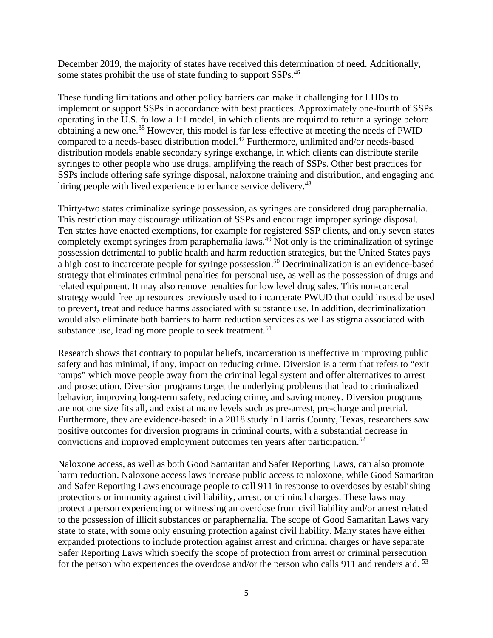December 2019, the majority of states have received this determination of need. Additionally, some states prohibit the use of state funding to support SSPs.<sup>46</sup>

These funding limitations and other policy barriers can make it challenging for LHDs to implement or support SSPs in accordance with best practices. Approximately one-fourth of SSPs operating in the U.S. follow a 1:1 model, in which clients are required to return a syringe before obtaining a new one.<sup>35</sup> However, this model is far less effective at meeting the needs of PWID compared to a needs-based distribution model.47 Furthermore, unlimited and/or needs-based distribution models enable secondary syringe exchange, in which clients can distribute sterile syringes to other people who use drugs, amplifying the reach of SSPs. Other best practices for SSPs include offering safe syringe disposal, naloxone training and distribution, and engaging and hiring people with lived experience to enhance service delivery.<sup>48</sup>

Thirty-two states criminalize syringe possession, as syringes are considered drug paraphernalia. This restriction may discourage utilization of SSPs and encourage improper syringe disposal. Ten states have enacted exemptions, for example for registered SSP clients, and only seven states completely exempt syringes from paraphernalia laws.<sup>49</sup> Not only is the criminalization of syringe possession detrimental to public health and harm reduction strategies, but the United States pays a high cost to incarcerate people for syringe possession.<sup>50</sup> Decriminalization is an evidence-based strategy that eliminates criminal penalties for personal use, as well as the possession of drugs and related equipment. It may also remove penalties for low level drug sales. This non-carceral strategy would free up resources previously used to incarcerate PWUD that could instead be used to prevent, treat and reduce harms associated with substance use. In addition, decriminalization would also eliminate both barriers to harm reduction services as well as stigma associated with substance use, leading more people to seek treatment.<sup>51</sup>

Research shows that contrary to popular beliefs, incarceration is ineffective in improving public safety and has minimal, if any, impact on reducing crime. Diversion is a term that refers to "exit ramps" which move people away from the criminal legal system and offer alternatives to arrest and prosecution. Diversion programs target the underlying problems that lead to criminalized behavior, improving long-term safety, reducing crime, and saving money. Diversion programs are not one size fits all, and exist at many levels such as pre-arrest, pre-charge and pretrial. Furthermore, they are evidence-based: in a 2018 study in Harris County, Texas, researchers saw positive outcomes for diversion programs in criminal courts, with a substantial decrease in convictions and improved employment outcomes ten years after participation.<sup>52</sup>

Naloxone access, as well as both Good Samaritan and Safer Reporting Laws, can also promote harm reduction. Naloxone access laws increase public access to naloxone, while Good Samaritan and Safer Reporting Laws encourage people to call 911 in response to overdoses by establishing protections or immunity against civil liability, arrest, or criminal charges. These laws may protect a person experiencing or witnessing an overdose from civil liability and/or arrest related to the possession of illicit substances or paraphernalia. The scope of Good Samaritan Laws vary state to state, with some only ensuring protection against civil liability. Many states have either expanded protections to include protection against arrest and criminal charges or have separate Safer Reporting Laws which specify the scope of protection from arrest or criminal persecution for the person who experiences the overdose and/or the person who calls 911 and renders aid. <sup>53</sup>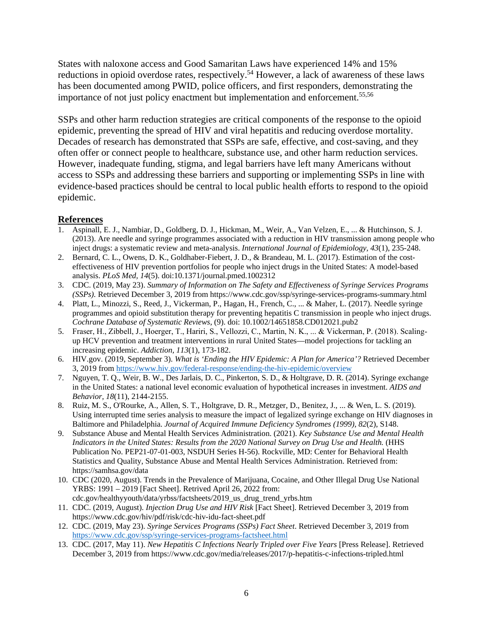States with naloxone access and Good Samaritan Laws have experienced 14% and 15% reductions in opioid overdose rates, respectively.<sup>54</sup> However, a lack of awareness of these laws has been documented among PWID, police officers, and first responders, demonstrating the importance of not just policy enactment but implementation and enforcement.<sup>55,56</sup>

SSPs and other harm reduction strategies are critical components of the response to the opioid epidemic, preventing the spread of HIV and viral hepatitis and reducing overdose mortality. Decades of research has demonstrated that SSPs are safe, effective, and cost-saving, and they often offer or connect people to healthcare, substance use, and other harm reduction services. However, inadequate funding, stigma, and legal barriers have left many Americans without access to SSPs and addressing these barriers and supporting or implementing SSPs in line with evidence-based practices should be central to local public health efforts to respond to the opioid epidemic.

#### **References**

- 1. Aspinall, E. J., Nambiar, D., Goldberg, D. J., Hickman, M., Weir, A., Van Velzen, E., ... & Hutchinson, S. J. (2013). Are needle and syringe programmes associated with a reduction in HIV transmission among people who inject drugs: a systematic review and meta-analysis. *International Journal of Epidemiology, 43*(1), 235-248.
- 2. Bernard, C. L., Owens, D. K., Goldhaber-Fiebert, J. D., & Brandeau, M. L. (2017). Estimation of the costeffectiveness of HIV prevention portfolios for people who inject drugs in the United States: A model-based analysis. *PLoS Med, 14*(5). doi:10.1371/journal.pmed.1002312
- 3. CDC. (2019, May 23). *Summary of Information on The Safety and Effectiveness of Syringe Services Programs (SSPs).* Retrieved December 3, 2019 from https://www.cdc.gov/ssp/syringe-services-programs-summary.html
- 4. Platt, L., Minozzi, S., Reed, J., Vickerman, P., Hagan, H., French, C., ... & Maher, L. (2017). Needle syringe programmes and opioid substitution therapy for preventing hepatitis C transmission in people who inject drugs. *Cochrane Database of Systematic Reviews*, (9). doi: 10.1002/14651858.CD012021.pub2
- 5. Fraser, H., Zibbell, J., Hoerger, T., Hariri, S., Vellozzi, C., Martin, N. K., ... & Vickerman, P. (2018). Scaling‐ up HCV prevention and treatment interventions in rural United States—model projections for tackling an increasing epidemic. *Addiction, 113*(1), 173-182.
- 6. HIV.gov. (2019, September 3). *What is 'Ending the HIV Epidemic: A Plan for America'?* Retrieved December 3, 2019 fro[m https://www.hiv.gov/federal-response/ending-the-hiv-epidemic/overview](https://www.hiv.gov/federal-response/ending-the-hiv-epidemic/overview)
- 7. Nguyen, T. Q., Weir, B. W., Des Jarlais, D. C., Pinkerton, S. D., & Holtgrave, D. R. (2014). Syringe exchange in the United States: a national level economic evaluation of hypothetical increases in investment. *AIDS and Behavior, 18*(11), 2144-2155.
- 8. Ruiz, M. S., O'Rourke, A., Allen, S. T., Holtgrave, D. R., Metzger, D., Benitez, J., ... & Wen, L. S. (2019). Using interrupted time series analysis to measure the impact of legalized syringe exchange on HIV diagnoses in Baltimore and Philadelphia. *Journal of Acquired Immune Deficiency Syndromes (1999), 82*(2), S148.
- 9. Substance Abuse and Mental Health Services Administration. (2021). *Key Substance Use and Mental Health Indicators in the United States: Results from the 2020 National Survey on Drug Use and Health.* (HHS Publication No. PEP21-07-01-003, NSDUH Series H-56). Rockville, MD: Center for Behavioral Health Statistics and Quality, Substance Abuse and Mental Health Services Administration. Retrieved from: https://samhsa.gov/data
- 10. CDC (2020, August). Trends in the Prevalence of Marijuana, Cocaine, and Other Illegal Drug Use National YRBS: 1991 – 2019 [Fact Sheet]. Retrived April 26, 2022 from: cdc.gov/healthyyouth/data/yrbss/factsheets/2019\_us\_drug\_trend\_yrbs.htm
- 11. CDC. (2019, August). *Injection Drug Use and HIV Risk* [Fact Sheet]. Retrieved December 3, 2019 from https://www.cdc.gov/hiv/pdf/risk/cdc-hiv-idu-fact-sheet.pdf
- 12. CDC. (2019, May 23). *Syringe Services Programs (SSPs) Fact Sheet*. Retrieved December 3, 2019 from <https://www.cdc.gov/ssp/syringe-services-programs-factsheet.html>
- 13. CDC. (2017, May 11). *New Hepatitis C Infections Nearly Tripled over Five Years* [Press Release]. Retrieved December 3, 2019 from https://www.cdc.gov/media/releases/2017/p-hepatitis-c-infections-tripled.html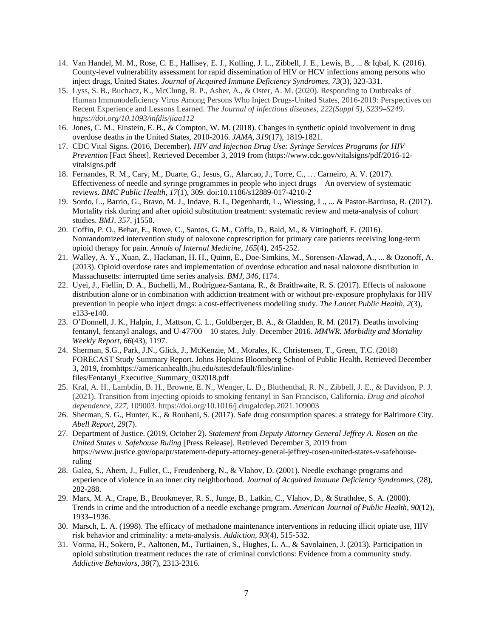- 14. Van Handel, M. M., Rose, C. E., Hallisey, E. J., Kolling, J. L., Zibbell, J. E., Lewis, B., ... & Iqbal, K. (2016). County-level vulnerability assessment for rapid dissemination of HIV or HCV infections among persons who inject drugs, United States. *Journal of Acquired Immune Deficiency Syndromes, 73*(3), 323-331.
- 15. Lyss, S. B., Buchacz, K., McClung, R. P., Asher, A., & Oster, A. M. (2020). Responding to Outbreaks of Human Immunodeficiency Virus Among Persons Who Inject Drugs-United States, 2016-2019: Perspectives on Recent Experience and Lessons Learned. *The Journal of infectious diseases, 222(Suppl 5), S239–S249. https://doi.org/10.1093/infdis/jiaa112*
- 16. Jones, C. M., Einstein, E. B., & Compton, W. M. (2018). Changes in synthetic opioid involvement in drug overdose deaths in the United States, 2010-2016. *JAMA, 319*(17), 1819-1821.
- 17. CDC Vital Signs. (2016, December). *HIV and Injection Drug Use: Syringe Services Programs for HIV Prevention* [Fact Sheet]. Retrieved December 3, 2019 from (https://www.cdc.gov/vitalsigns/pdf/2016-12 vitalsigns.pdf
- 18. Fernandes, R. M., Cary, M., Duarte, G., Jesus, G., Alarcao, J., Torre, C., … Carneiro, A. V. (2017). Effectiveness of needle and syringe programmes in people who inject drugs – An overview of systematic reviews. *BMC Public Health, 17*(1), 309. doi:10.1186/s12889-017-4210-2
- 19. Sordo, L., Barrio, G., Bravo, M. J., Indave, B. I., Degenhardt, L., Wiessing, L., ... & Pastor-Barriuso, R. (2017). Mortality risk during and after opioid substitution treatment: systematic review and meta-analysis of cohort studies. *BMJ, 357*, j1550.
- 20. Coffin, P. O., Behar, E., Rowe, C., Santos, G. M., Coffa, D., Bald, M., & Vittinghoff, E. (2016). Nonrandomized intervention study of naloxone coprescription for primary care patients receiving long-term opioid therapy for pain. *Annals of Internal Medicine, 165*(4), 245-252.
- 21. Walley, A. Y., Xuan, Z., Hackman, H. H., Quinn, E., Doe-Simkins, M., Sorensen-Alawad, A., ... & Ozonoff, A. (2013). Opioid overdose rates and implementation of overdose education and nasal naloxone distribution in Massachusetts: interrupted time series analysis. *BMJ, 346*, f174.
- 22. Uyei, J., Fiellin, D. A., Buchelli, M., Rodriguez-Santana, R., & Braithwaite, R. S. (2017). Effects of naloxone distribution alone or in combination with addiction treatment with or without pre-exposure prophylaxis for HIV prevention in people who inject drugs: a cost-effectiveness modelling study. *The Lancet Public Health, 2*(3), e133-e140.
- 23. O'Donnell, J. K., Halpin, J., Mattson, C. L., Goldberger, B. A., & Gladden, R. M. (2017). Deaths involving fentanyl, fentanyl analogs, and U-47700—10 states, July–December 2016. *MMWR. Morbidity and Mortality Weekly Report, 66*(43), 1197.
- 24. Sherman, S.G., Park, J.N., Glick, J., McKenzie, M., Morales, K., Christensen, T., Green, T.C. (2018) FORECAST Study Summary Report. Johns Hopkins Bloomberg School of Public Health. Retrieved December 3, 2019, fromhttps://americanhealth.jhu.edu/sites/default/files/inlinefiles/Fentanyl\_Executive\_Summary\_032018.pdf
- 25. Kral, A. H., Lambdin, B. H., Browne, E. N., Wenger, L. D., Bluthenthal, R. N., Zibbell, J. E., & Davidson, P. J. (2021). Transition from injecting opioids to smoking fentanyl in San Francisco, California. *Drug and alcohol dependence*, *227*, 109003. https://doi.org/10.1016/j.drugalcdep.2021.109003
- 26. Sherman, S. G., Hunter, K., & Rouhani, S. (2017). Safe drug consumption spaces: a strategy for Baltimore City. *Abell Report, 29*(7).
- 27. Department of Justice. (2019, October 2). *Statement from Deputy Attorney General Jeffrey A. Rosen on the United States v. Safehouse Ruling* [Press Release]. Retrieved December 3, 2019 from https://www.justice.gov/opa/pr/statement-deputy-attorney-general-jeffrey-rosen-united-states-v-safehouseruling
- 28. Galea, S., Ahern, J., Fuller, C., Freudenberg, N., & Vlahov, D. (2001). Needle exchange programs and experience of violence in an inner city neighborhood. *Journal of Acquired Immune Deficiency Syndromes*, (28), 282-288.
- 29. Marx, M. A., Crape, B., Brookmeyer, R. S., Junge, B., Latkin, C., Vlahov, D., & Strathdee, S. A. (2000). Trends in crime and the introduction of a needle exchange program. *American Journal of Public Health, 90*(12), 1933–1936.
- 30. Marsch, L. A. (1998). The efficacy of methadone maintenance interventions in reducing illicit opiate use, HIV risk behavior and criminality: a meta‐analysis. *Addiction, 93*(4), 515-532.
- 31. Vorma, H., Sokero, P., Aaltonen, M., Turtiainen, S., Hughes, L. A., & Savolainen, J. (2013). Participation in opioid substitution treatment reduces the rate of criminal convictions: Evidence from a community study. *Addictive Behaviors, 38*(7), 2313-2316.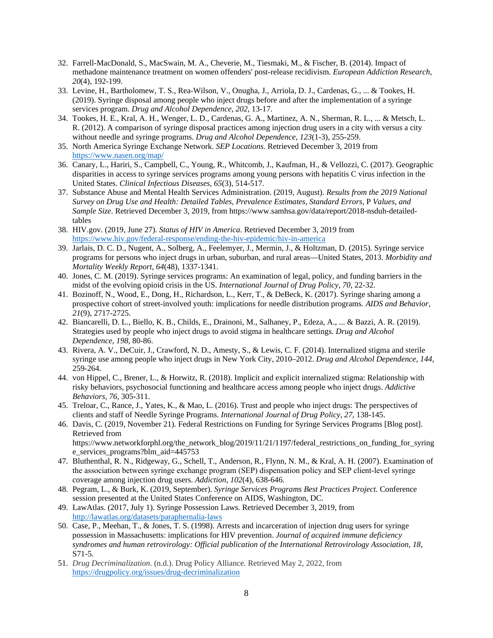- 32. Farrell-MacDonald, S., MacSwain, M. A., Cheverie, M., Tiesmaki, M., & Fischer, B. (2014). Impact of methadone maintenance treatment on women offenders' post-release recidivism*. European Addiction Research, 20*(4), 192-199.
- 33. Levine, H., Bartholomew, T. S., Rea-Wilson, V., Onugha, J., Arriola, D. J., Cardenas, G., ... & Tookes, H. (2019). Syringe disposal among people who inject drugs before and after the implementation of a syringe services program. *Drug and Alcohol Dependence*, *202*, 13-17.
- 34. Tookes, H. E., Kral, A. H., Wenger, L. D., Cardenas, G. A., Martinez, A. N., Sherman, R. L., ... & Metsch, L. R. (2012). A comparison of syringe disposal practices among injection drug users in a city with versus a city without needle and syringe programs. *Drug and Alcohol Dependence, 123*(1-3), 255-259.
- 35. North America Syringe Exchange Network. *SEP Locations.* Retrieved December 3, 2019 from <https://www.nasen.org/map/>
- 36. Canary, L., Hariri, S., Campbell, C., Young, R., Whitcomb, J., Kaufman, H., & Vellozzi, C. (2017). Geographic disparities in access to syringe services programs among young persons with hepatitis C virus infection in the United States. *Clinical Infectious Diseases, 65*(3), 514-517.
- 37. Substance Abuse and Mental Health Services Administration. (2019, August). *Results from the 2019 National Survey on Drug Use and Health: Detailed Tables, Prevalence Estimates, Standard Errors,* P *Values, and Sample Size*. Retrieved December 3, 2019, from https://www.samhsa.gov/data/report/2018-nsduh-detailedtables
- 38. HIV.gov. (2019, June 27). *Status of HIV in America*. Retrieved December 3, 2019 from <https://www.hiv.gov/federal-response/ending-the-hiv-epidemic/hiv-in-america>
- 39. Jarlais, D. C. D., Nugent, A., Solberg, A., Feelemyer, J., Mermin, J., & Holtzman, D. (2015). Syringe service programs for persons who inject drugs in urban, suburban, and rural areas—United States, 2013. *Morbidity and Mortality Weekly Report, 64*(48), 1337-1341.
- 40. Jones, C. M. (2019). Syringe services programs: An examination of legal, policy, and funding barriers in the midst of the evolving opioid crisis in the US. *International Journal of Drug Policy, 70*, 22-32.
- 41. Bozinoff, N., Wood, E., Dong, H., Richardson, L., Kerr, T., & DeBeck, K. (2017). Syringe sharing among a prospective cohort of street-involved youth: implications for needle distribution programs. *AIDS and Behavior, 21*(9), 2717-2725.
- 42. Biancarelli, D. L., Biello, K. B., Childs, E., Drainoni, M., Salhaney, P., Edeza, A., ... & Bazzi, A. R. (2019). Strategies used by people who inject drugs to avoid stigma in healthcare settings. *Drug and Alcohol Dependence, 198*, 80-86.
- 43. Rivera, A. V., DeCuir, J., Crawford, N. D., Amesty, S., & Lewis, C. F. (2014). Internalized stigma and sterile syringe use among people who inject drugs in New York City, 2010–2012. *Drug and Alcohol Dependence, 144*, 259-264.
- 44. von Hippel, C., Brener, L., & Horwitz, R. (2018). Implicit and explicit internalized stigma: Relationship with risky behaviors, psychosocial functioning and healthcare access among people who inject drugs. *Addictive Behaviors, 76*, 305-311.
- 45. Treloar, C., Rance, J., Yates, K., & Mao, L. (2016). Trust and people who inject drugs: The perspectives of clients and staff of Needle Syringe Programs. *International Journal of Drug Policy, 27*, 138-145.
- 46. Davis, C. (2019, November 21). Federal Restrictions on Funding for Syringe Services Programs [Blog post]. Retrieved from https://www.networkforphl.org/the\_network\_blog/2019/11/21/1197/federal\_restrictions\_on\_funding\_for\_syring

e\_services\_programs?blm\_aid=445753

- 47. Bluthenthal, R. N., Ridgeway, G., Schell, T., Anderson, R., Flynn, N. M., & Kral, A. H. (2007). Examination of the association between syringe exchange program (SEP) dispensation policy and SEP client‐level syringe coverage among injection drug users. *Addiction, 102*(4), 638-646.
- 48. Pegram, L., & Burk, K. (2019, September). *Syringe Services Programs Best Practices Project.* Conference session presented at the United States Conference on AIDS, Washington, DC.
- 49. LawAtlas. (2017, July 1). Syringe Possession Laws. Retrieved December 3, 2019, from <http://lawatlas.org/datasets/paraphernalia-laws>
- 50. Case, P., Meehan, T., & Jones, T. S. (1998). Arrests and incarceration of injection drug users for syringe possession in Massachusetts: implications for HIV prevention. *Journal of acquired immune deficiency syndromes and human retrovirology: Official publication of the International Retrovirology Association, 18*, S71-5.
- 51. *Drug Decriminalization*. (n.d.). Drug Policy Alliance. Retrieved May 2, 2022, from <https://drugpolicy.org/issues/drug-decriminalization>